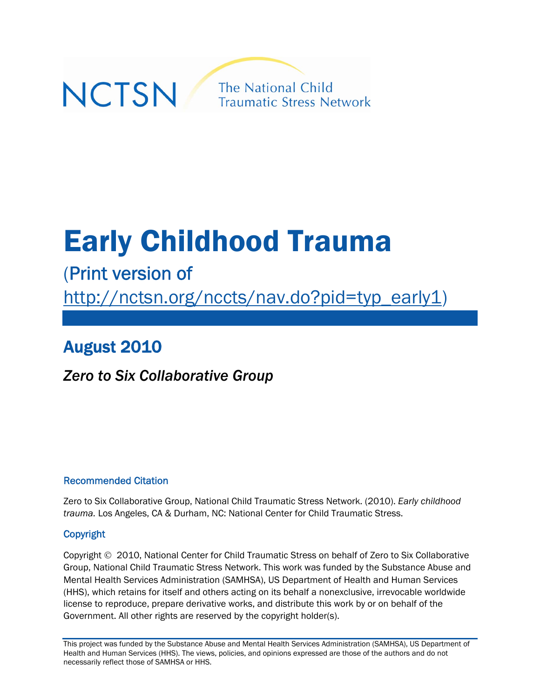

# Early Childhood Trauma

# (Print version of

[http://nctsn.org/nccts/nav.do?pid=typ\\_early1](http://nctsn.org/nccts/nav.do?pid=typ_early1))

# August 2010

# *Zero to Six Collaborative Group*

### Recommended Citation

Zero to Six Collaborative Group, National Child Traumatic Stress Network. (2010). *Early childhood trauma.* Los Angeles, CA & Durham, NC: National Center for Child Traumatic Stress.

### Copyright

Copyright 2010, National Center for Child Traumatic Stress on behalf of Zero to Six Collaborative Group, National Child Traumatic Stress Network. This work was funded by the Substance Abuse and Mental Health Services Administration (SAMHSA), US Department of Health and Human Services (HHS), which retains for itself and others acting on its behalf a nonexclusive, irrevocable worldwide license to reproduce, prepare derivative works, and distribute this work by or on behalf of the Government. All other rights are reserved by the copyright holder(s).

This project was funded by the Substance Abuse and Mental Health Services Administration (SAMHSA), US Department of Health and Human Services (HHS). The views, policies, and opinions expressed are those of the authors and do not necessarily reflect those of SAMHSA or HHS.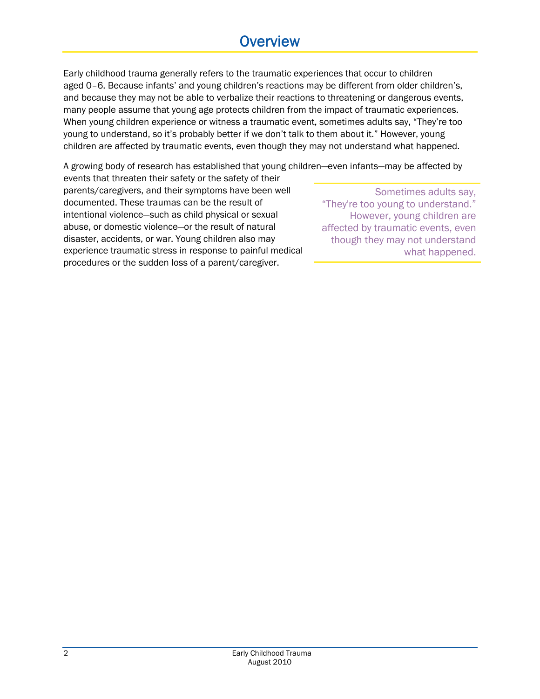# **Overview**

Early childhood trauma generally refers to the traumatic experiences that occur to children aged 0–6. Because infants' and young children's reactions may be different from older children's, and because they may not be able to verbalize their reactions to threatening or dangerous events, many people assume that young age protects children from the impact of traumatic experiences. When young children experience or witness a traumatic event, sometimes adults say, "They're too young to understand, so it's probably better if we don't talk to them about it." However, young children are affected by traumatic events, even though they may not understand what happened.

A growing body of research has established that young children—even infants―may be affected by

events that threaten their safety or the safety of their parents/caregivers, and their symptoms have been well documented. These traumas can be the result of intentional violence―such as child physical or sexual abuse, or domestic violence―or the result of natural disaster, accidents, or war. Young children also may experience traumatic stress in response to painful medical procedures or the sudden loss of a parent/caregiver.

Sometimes adults say, "They're too young to understand." However, young children are affected by traumatic events, even though they may not understand what happened.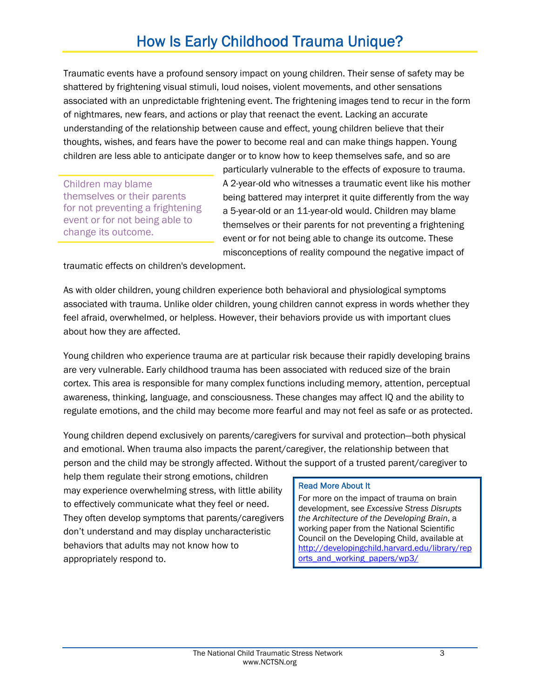# How Is Early Childhood Trauma Unique?

Traumatic events have a profound sensory impact on young children. Their sense of safety may be shattered by frightening visual stimuli, loud noises, violent movements, and other sensations associated with an unpredictable frightening event. The frightening images tend to recur in the form of nightmares, new fears, and actions or play that reenact the event. Lacking an accurate understanding of the relationship between cause and effect, young children believe that their thoughts, wishes, and fears have the power to become real and can make things happen. Young children are less able to anticipate danger or to know how to keep themselves safe, and so are

Children may blame themselves or their parents for not preventing a frightening event or for not being able to change its outcome.

particularly vulnerable to the effects of exposure to trauma. A 2-year-old who witnesses a traumatic event like his mother being battered may interpret it quite differently from the way a 5-year-old or an 11-year-old would. Children may blame themselves or their parents for not preventing a frightening event or for not being able to change its outcome. These misconceptions of reality compound the negative impact of

traumatic effects on children's development.

As with older children, young children experience both behavioral and physiological symptoms associated with trauma. Unlike older children, young children cannot express in words whether they feel afraid, overwhelmed, or helpless. However, their behaviors provide us with important clues about how they are affected.

Young children who experience trauma are at particular risk because their rapidly developing brains are very vulnerable. Early childhood trauma has been associated with reduced size of the brain cortex. This area is responsible for many complex functions including memory, attention, perceptual awareness, thinking, language, and consciousness. These changes may affect IQ and the ability to regulate emotions, and the child may become more fearful and may not feel as safe or as protected.

Young children depend exclusively on parents/caregivers for survival and protection―both physical and emotional. When trauma also impacts the parent/caregiver, the relationship between that person and the child may be strongly affected. Without the support of a trusted parent/caregiver to

help them regulate their strong emotions, children may experience overwhelming stress, with little ability to effectively communicate what they feel or need. They often develop symptoms that parents/caregivers don't understand and may display uncharacteristic behaviors that adults may not know how to appropriately respond to.

#### Read More About It

For more on the impact of trauma on brain development, see *Excessive Stress Disrupts the Architecture of the Developing Brain*, a working paper from the National Scientific Council on the Developing Child, available at [http://developingchild.harvard.edu/library/rep](http://developingchild.harvard.edu/library/reports_and_working_papers/wp3/) [orts\\_and\\_working\\_papers/wp3/](http://developingchild.harvard.edu/library/reports_and_working_papers/wp3/)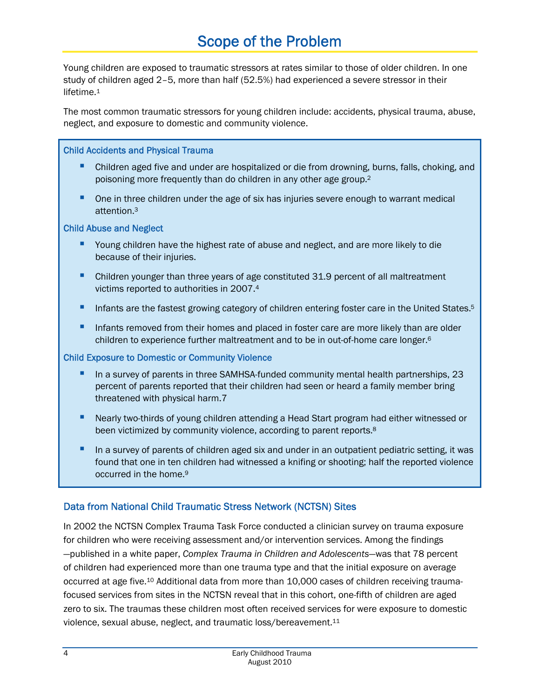# Scope of the Problem

Young children are exposed to traumatic stressors at rates similar to those of older children. In one study of children aged 2–5, more than half (52.5%) had experienced a severe stressor in their lifetime.<sup>1</sup>

The most common traumatic stressors for young children include: accidents, physical trauma, abuse, neglect, and exposure to domestic and community violence.

#### Child Accidents and Physical Trauma

- Children aged five and under are hospitalized or die from drowning, burns, falls, choking, and poisoning more frequently than do children in any other age group.2
- **One in three children under the age of six has injuries severe enough to warrant medical** attention.3

#### Child Abuse and Neglect

- **P** Young children have the highest rate of abuse and neglect, and are more likely to die because of their injuries.
- **•** Children younger than three years of age constituted 31.9 percent of all maltreatment victims reported to authorities in 2007.4
- Infants are the fastest growing category of children entering foster care in the United States.<sup>5</sup>
- **Infants removed from their homes and placed in foster care are more likely than are older** children to experience further maltreatment and to be in out-of-home care longer.6

#### Child Exposure to Domestic or Community Violence

- In a survey of parents in three SAMHSA-funded community mental health partnerships, 23 percent of parents reported that their children had seen or heard a family member bring threatened with physical harm.7
- **Nearly two-thirds of young children attending a Head Start program had either witnessed or** been victimized by community violence, according to parent reports.<sup>8</sup>
- In a survey of parents of children aged six and under in an outpatient pediatric setting, it was found that one in ten children had witnessed a knifing or shooting; half the reported violence occurred in the home.9

### Data from National Child Traumatic Stress Network (NCTSN) Sites

In 2002 the NCTSN Complex Trauma Task Force conducted a clinician survey on trauma exposure for children who were receiving assessment and/or intervention services. Among the findings ―published in a white paper, *Complex Trauma in Children and Adolescents*―was that 78 percent of children had experienced more than one trauma type and that the initial exposure on average occurred at age five.10 Additional data from more than 10,000 cases of children receiving traumafocused services from sites in the NCTSN reveal that in this cohort, one-fifth of children are aged zero to six. The traumas these children most often received services for were exposure to domestic violence, sexual abuse, neglect, and traumatic loss/bereavement.11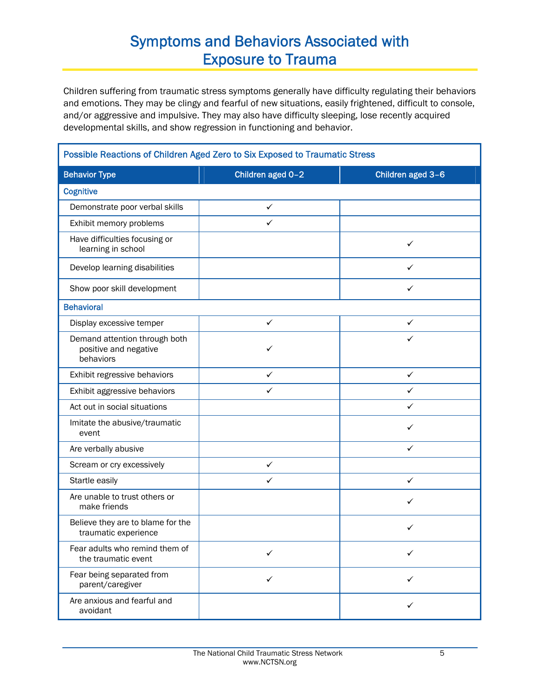# Symptoms and Behaviors Associated with Exposure to Trauma

Children suffering from traumatic stress symptoms generally have difficulty regulating their behaviors and emotions. They may be clingy and fearful of new situations, easily frightened, difficult to console, and/or aggressive and impulsive. They may also have difficulty sleeping, lose recently acquired developmental skills, and show regression in functioning and behavior.

| Possible Reactions of Children Aged Zero to Six Exposed to Traumatic Stress |                   |                   |
|-----------------------------------------------------------------------------|-------------------|-------------------|
| <b>Behavior Type</b>                                                        | Children aged 0-2 | Children aged 3-6 |
| <b>Cognitive</b>                                                            |                   |                   |
| Demonstrate poor verbal skills                                              | $\checkmark$      |                   |
| Exhibit memory problems                                                     | ✓                 |                   |
| Have difficulties focusing or<br>learning in school                         |                   | ✓                 |
| Develop learning disabilities                                               |                   | $\checkmark$      |
| Show poor skill development                                                 |                   | ✓                 |
| <b>Behavioral</b>                                                           |                   |                   |
| Display excessive temper                                                    | ✓                 | $\checkmark$      |
| Demand attention through both<br>positive and negative<br>behaviors         | ✓                 | ✓                 |
| Exhibit regressive behaviors                                                | $\checkmark$      | $\checkmark$      |
| Exhibit aggressive behaviors                                                | ✓                 | ✓                 |
| Act out in social situations                                                |                   | ✓                 |
| Imitate the abusive/traumatic<br>event                                      |                   | ✓                 |
| Are verbally abusive                                                        |                   | ✓                 |
| Scream or cry excessively                                                   | $\checkmark$      |                   |
| Startle easily                                                              | ✓                 | ✓                 |
| Are unable to trust others or<br>make friends                               |                   | ✓                 |
| Believe they are to blame for the<br>traumatic experience                   |                   | ✓                 |
| Fear adults who remind them of<br>the traumatic event                       | ✓                 | ✓                 |
| Fear being separated from<br>parent/caregiver                               | $\checkmark$      | $\checkmark$      |
| Are anxious and fearful and<br>avoidant                                     |                   | ✓                 |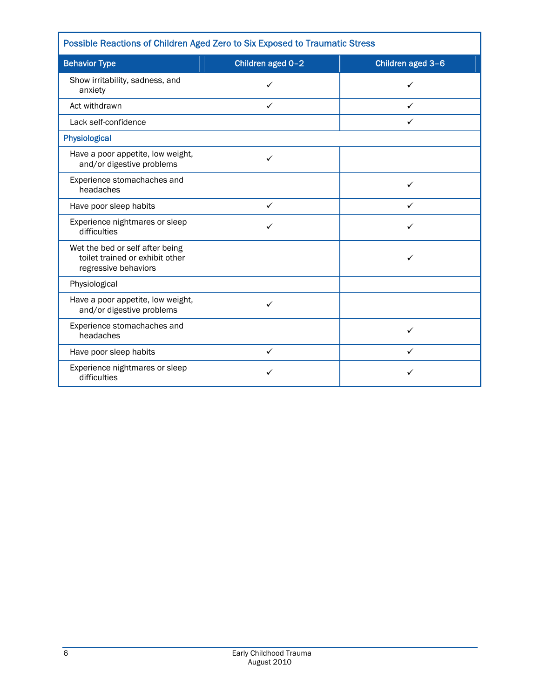| Possible Reactions of Children Aged Zero to Six Exposed to Traumatic Stress                |                   |                   |  |  |
|--------------------------------------------------------------------------------------------|-------------------|-------------------|--|--|
| <b>Behavior Type</b>                                                                       | Children aged 0-2 | Children aged 3-6 |  |  |
| Show irritability, sadness, and<br>anxiety                                                 | ✓                 | ✓                 |  |  |
| Act withdrawn                                                                              | ✓                 | ✓                 |  |  |
| Lack self-confidence                                                                       |                   | ✓                 |  |  |
| Physiological                                                                              |                   |                   |  |  |
| Have a poor appetite, low weight,<br>and/or digestive problems                             | ✓                 |                   |  |  |
| Experience stomachaches and<br>headaches                                                   |                   | ✓                 |  |  |
| Have poor sleep habits                                                                     | $\checkmark$      | ✓                 |  |  |
| Experience nightmares or sleep<br>difficulties                                             | ✓                 | ✓                 |  |  |
| Wet the bed or self after being<br>toilet trained or exhibit other<br>regressive behaviors |                   | ✓                 |  |  |
| Physiological                                                                              |                   |                   |  |  |
| Have a poor appetite, low weight,<br>and/or digestive problems                             | ✓                 |                   |  |  |
| Experience stomachaches and<br>headaches                                                   |                   | ✓                 |  |  |
| Have poor sleep habits                                                                     | ✓                 | ✓                 |  |  |
| Experience nightmares or sleep<br>difficulties                                             | ✓                 | ✓                 |  |  |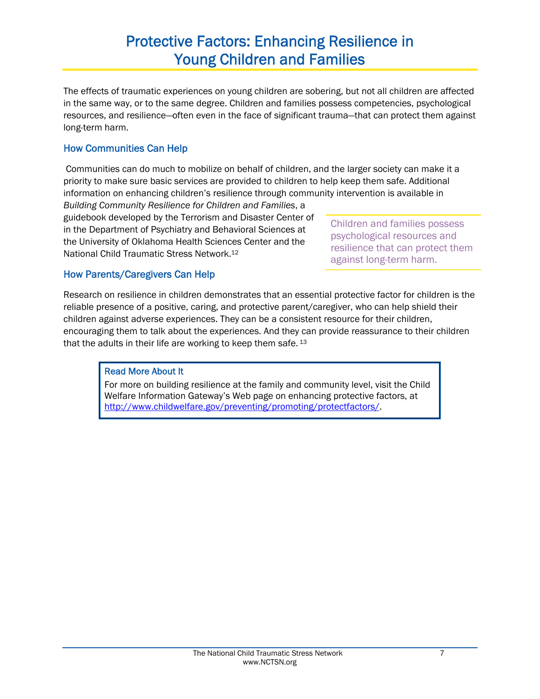# Protective Factors: Enhancing Resilience in Young Children and Families

The effects of traumatic experiences on young children are sobering, but not all children are affected in the same way, or to the same degree. Children and families possess competencies, psychological resources, and resilience—often even in the face of significant trauma—that can protect them against long-term harm.

### How Communities Can Help

 Communities can do much to mobilize on behalf of children, and the larger society can make it a priority to make sure basic services are provided to children to help keep them safe. Additional information on enhancing children's resilience through community intervention is available in

*Building Community Resilience for Children and Families*, a guidebook developed by the Terrorism and Disaster Center of in the Department of Psychiatry and Behavioral Sciences at the University of Oklahoma Health Sciences Center and the National Child Traumatic Stress Network.12

Children and families possess psychological resources and resilience that can protect them against long-term harm.

### How Parents/Caregivers Can Help

Research on resilience in children demonstrates that an essential protective factor for children is the reliable presence of a positive, caring, and protective parent/caregiver, who can help shield their children against adverse experiences. They can be a consistent resource for their children, encouraging them to talk about the experiences. And they can provide reassurance to their children that the adults in their life are working to keep them safe. 13

### Read More About It

For more on building resilience at the family and community level, visit the Child Welfare Information Gateway's Web page on enhancing protective factors, at <http://www.childwelfare.gov/preventing/promoting/protectfactors/>.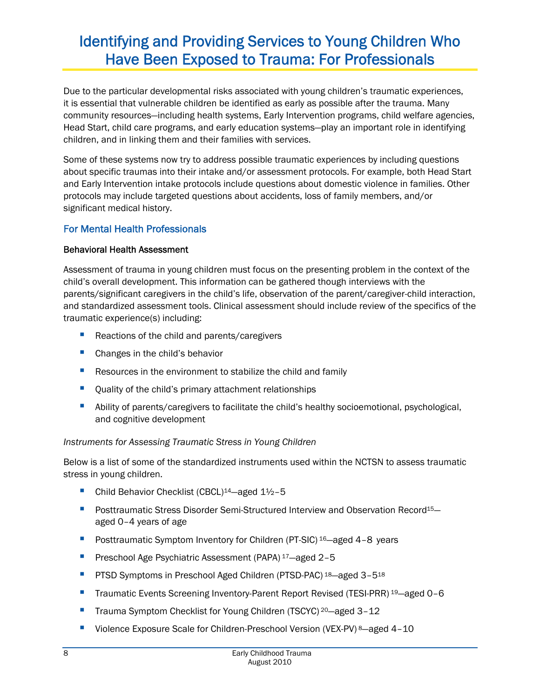# Identifying and Providing Services to Young Children Who Have Been Exposed to Trauma: For Professionals

Due to the particular developmental risks associated with young children's traumatic experiences, it is essential that vulnerable children be identified as early as possible after the trauma. Many community resources―including health systems, Early Intervention programs, child welfare agencies, Head Start, child care programs, and early education systems―play an important role in identifying children, and in linking them and their families with services.

Some of these systems now try to address possible traumatic experiences by including questions about specific traumas into their intake and/or assessment protocols. For example, both Head Start and Early Intervention intake protocols include questions about domestic violence in families. Other protocols may include targeted questions about accidents, loss of family members, and/or significant medical history.

### For Mental Health Professionals

#### Behavioral Health Assessment

Assessment of trauma in young children must focus on the presenting problem in the context of the child's overall development. This information can be gathered though interviews with the parents/significant caregivers in the child's life, observation of the parent/caregiver-child interaction, and standardized assessment tools. Clinical assessment should include review of the specifics of the traumatic experience(s) including:

- Reactions of the child and parents/caregivers
- **Changes in the child's behavior**
- **Resources in the environment to stabilize the child and family**
- **•** Quality of the child's primary attachment relationships
- **Ability of parents/caregivers to facilitate the child's healthy socioemotional, psychological,** and cognitive development

#### *Instruments for Assessing Traumatic Stress in Young Children*

Below is a list of some of the standardized instruments used within the NCTSN to assess traumatic stress in young children.

- Child Behavior Checklist (CBCL)<sup>14</sup>—aged 1<sup>1</sup>/2-5
- **Posttraumatic Stress Disorder Semi-Structured Interview and Observation Record**<sup>15</sup> aged 0–4 years of age
- Posttraumatic Symptom Inventory for Children (PT-SIC) <sup>16</sup>—aged 4-8 years
- **Preschool Age Psychiatric Assessment (PAPA) <sup>17</sup>-aged 2-5**
- **PTSD Symptoms in Preschool Aged Children (PTSD-PAC) 18—aged 3-518**
- Traumatic Events Screening Inventory-Parent Report Revised (TESI-PRR) <sup>19</sup>—aged 0-6
- Trauma Symptom Checklist for Young Children (TSCYC)<sup>20</sup>—aged 3-12
- Violence Exposure Scale for Children-Preschool Version (VEX-PV) 8—aged 4-10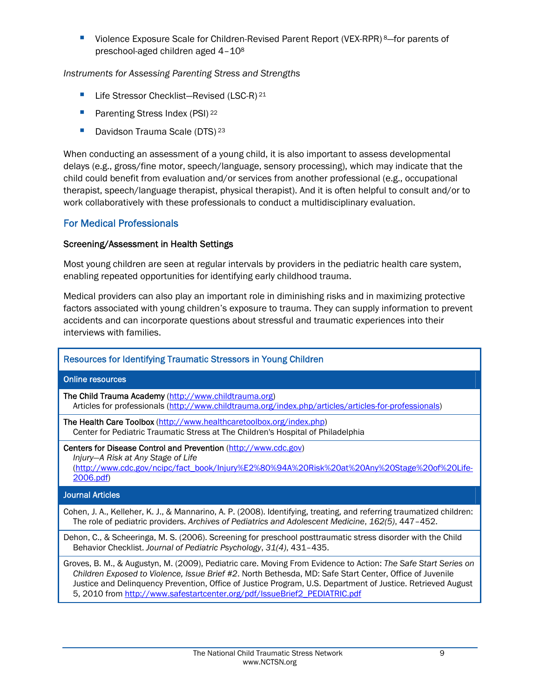■ Violence Exposure Scale for Children-Revised Parent Report (VEX-RPR) 8–for parents of preschool-aged children aged 4–108

*Instruments for Assessing Parenting Stress and Strengths* 

- Life Stressor Checklist-Revised (LSC-R) 21
- **Parenting Stress Index (PSI)** 22
- Davidson Trauma Scale (DTS)<sup>23</sup>

When conducting an assessment of a young child, it is also important to assess developmental delays (e.g., gross/fine motor, speech/language, sensory processing), which may indicate that the child could benefit from evaluation and/or services from another professional (e.g., occupational therapist, speech/language therapist, physical therapist). And it is often helpful to consult and/or to work collaboratively with these professionals to conduct a multidisciplinary evaluation.

#### For Medical Professionals

#### Screening/Assessment in Health Settings

Most young children are seen at regular intervals by providers in the pediatric health care system, enabling repeated opportunities for identifying early childhood trauma.

Medical providers can also play an important role in diminishing risks and in maximizing protective factors associated with young children's exposure to trauma. They can supply information to prevent accidents and can incorporate questions about stressful and traumatic experiences into their interviews with families.

# Resources for Identifying Traumatic Stressors in Young Children Online resources The Child Trauma Academy [\(http://www.childtrauma.org\)](http://www.childtrauma.org/) Articles for professionals [\(http://www.childtrauma.org/index.php/articles/articles-for-professionals\)](http://www.childtrauma.org/index.php/articles/articles-for-professionals) The Health Care Toolbox [\(http://www.healthcaretoolbox.org/index.php](http://www.healthcaretoolbox.org/index.php)) Center for Pediatric Traumatic Stress at The Children's Hospital of Philadelphia Centers for Disease Control and Prevention ([http://www.cdc.gov](http://www.cdc.gov/)) *Injury—A Risk at Any Stage of Life* ([http://www.cdc.gov/ncipc/fact\\_book/Injury%E2%80%94A%20Risk%20at%20Any%20Stage%20of%20Life-](http://www.cdc.gov/ncipc/fact_book/Injury%E2%80%94A%20Risk%20at%20Any%20Stage%20of%20Life-2006.pdf)[2006.pdf\)](http://www.cdc.gov/ncipc/fact_book/Injury%E2%80%94A%20Risk%20at%20Any%20Stage%20of%20Life-2006.pdf) Journal Articles Cohen, J. A., Kelleher, K. J., & Mannarino, A. P. (2008). Identifying, treating, and referring traumatized children: The role of pediatric providers. *Archives of Pediatrics and Adolescent Medicine*, *162(5)*, 447–452. Dehon, C., & Scheeringa, M. S. (2006). Screening for preschool posttraumatic stress disorder with the Child Behavior Checklist. *Journal of Pediatric Psychology*, *31(4)*, 431–435. Groves, B. M., & Augustyn, M. (2009), Pediatric care. Moving From Evidence to Action: *The Safe Start Series on Children Exposed to Violence, Issue Brief #2*. North Bethesda, MD: Safe Start Center, Office of Juvenile Justice and Delinquency Prevention, Office of Justice Program, U.S. Department of Justice. Retrieved August

5, 2010 from [http://www.safestartcenter.org/pdf/IssueBrief2\\_PEDIATRIC.pdf](http://www.safestartcenter.org/pdf/IssueBrief2_PEDIATRIC.pdf)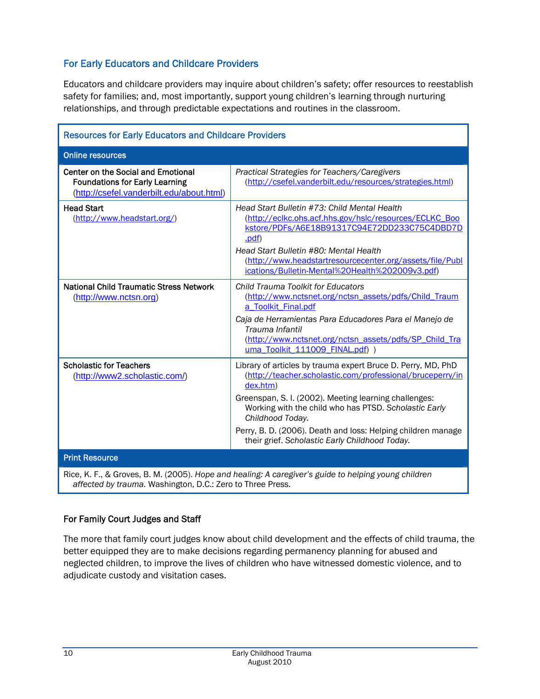### For Early Educators and Childcare Providers

Educators and childcare providers may inquire about children's safety; offer resources to reestablish safety for families; and, most importantly, support young children's learning through nurturing relationships, and through predictable expectations and routines in the classroom.

| <b>Resources for Early Educators and Childcare Providers</b>                                                                                                       |                                                                                                                                                                                                                                                                                                                                                                                               |  |
|--------------------------------------------------------------------------------------------------------------------------------------------------------------------|-----------------------------------------------------------------------------------------------------------------------------------------------------------------------------------------------------------------------------------------------------------------------------------------------------------------------------------------------------------------------------------------------|--|
| <b>Online resources</b>                                                                                                                                            |                                                                                                                                                                                                                                                                                                                                                                                               |  |
| Center on the Social and Emotional<br><b>Foundations for Early Learning</b><br>(http://csefel.vanderbilt.edu/about.html)                                           | Practical Strategies for Teachers/Caregivers<br>(http://csefel.vanderbilt.edu/resources/strategies.html)                                                                                                                                                                                                                                                                                      |  |
| <b>Head Start</b><br>(http://www.headstart.org/)                                                                                                                   | Head Start Bulletin #73: Child Mental Health<br>(http://eclkc.ohs.acf.hhs.gov/hslc/resources/ECLKC Boo<br>kstore/PDFs/A6E18B91317C94E72DD233C75C4DBD7D<br>.pdf)<br>Head Start Bulletin #80: Mental Health<br>(http://www.headstartresourcecenter.org/assets/file/Publ<br>ications/Bulletin-Mental%20Health%202009v3.pdf)                                                                      |  |
| <b>National Child Traumatic Stress Network</b><br>(http://www.nctsn.org)                                                                                           | Child Trauma Toolkit for Educators<br>(http://www.nctsnet.org/nctsn_assets/pdfs/Child_Traum<br>a Toolkit Final.pdf<br>Caja de Herramientas Para Educadores Para el Manejo de<br>Trauma Infantil<br>(http://www.nctsnet.org/nctsn_assets/pdfs/SP_Child_Tra<br>uma_Toolkit_111009_FINAL.pdf) )                                                                                                  |  |
| <b>Scholastic for Teachers</b><br>(http://www2.scholastic.com/)                                                                                                    | Library of articles by trauma expert Bruce D. Perry, MD, PhD<br>(http://teacher.scholastic.com/professional/bruceperry/in<br>dex.htm)<br>Greenspan, S. I. (2002). Meeting learning challenges:<br>Working with the child who has PTSD. Scholastic Early<br>Childhood Today.<br>Perry, B. D. (2006). Death and loss: Helping children manage<br>their grief. Scholastic Early Childhood Today. |  |
| <b>Print Resource</b>                                                                                                                                              |                                                                                                                                                                                                                                                                                                                                                                                               |  |
| Rice, K. F., & Groves, B. M. (2005). Hope and healing: A caregiver's guide to helping young children<br>affected by trauma. Washington, D.C.: Zero to Three Press. |                                                                                                                                                                                                                                                                                                                                                                                               |  |

#### For Family Court Judges and Staff

The more that family court judges know about child development and the effects of child trauma, the better equipped they are to make decisions regarding permanency planning for abused and neglected children, to improve the lives of children who have witnessed domestic violence, and to adjudicate custody and visitation cases.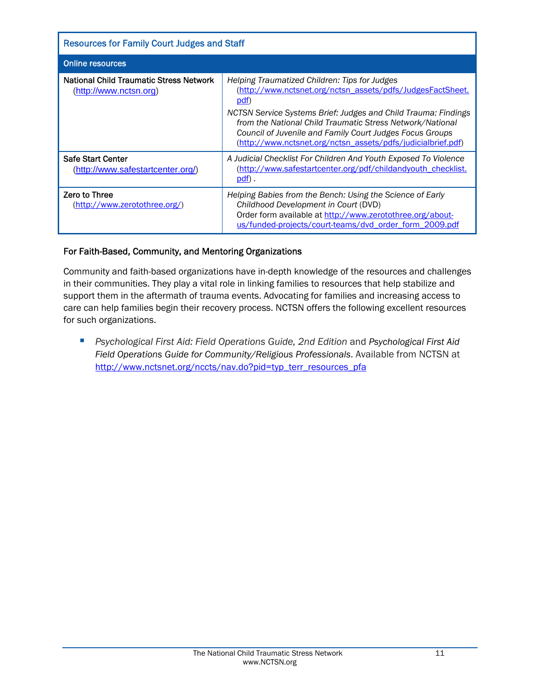| <b>Resources for Family Court Judges and Staff</b>                |                                                                                                                                                                                                                                                                                                                                                                                |  |
|-------------------------------------------------------------------|--------------------------------------------------------------------------------------------------------------------------------------------------------------------------------------------------------------------------------------------------------------------------------------------------------------------------------------------------------------------------------|--|
| <b>Online resources</b>                                           |                                                                                                                                                                                                                                                                                                                                                                                |  |
| National Child Traumatic Stress Network<br>(http://www.nctsn.org) | Helping Traumatized Children: Tips for Judges<br>(http://www.nctsnet.org/nctsn_assets/pdfs/JudgesFactSheet.<br>pdf)<br>NCTSN Service Systems Brief: Judges and Child Trauma: Findings<br>from the National Child Traumatic Stress Network/National<br>Council of Juvenile and Family Court Judges Focus Groups<br>(http://www.nctsnet.org/nctsn_assets/pdfs/judicialbrief.pdf) |  |
| Safe Start Center<br>(http://www.safestartcenter.org/)            | A Judicial Checklist For Children And Youth Exposed To Violence<br>(http://www.safestartcenter.org/pdf/childandyouth checklist.<br><u>pdf</u> ).                                                                                                                                                                                                                               |  |
| <b>Zero to Three</b><br>(http://www.zerotothree.org/)             | Helping Babies from the Bench: Using the Science of Early<br>Childhood Development in Court (DVD)<br>Order form available at http://www.zerotothree.org/about-<br>us/funded-projects/court-teams/dvd order form 2009.pdf                                                                                                                                                       |  |

#### For Faith-Based, Community, and Mentoring Organizations

Community and faith-based organizations have in-depth knowledge of the resources and challenges in their communities. They play a vital role in linking families to resources that help stabilize and support them in the aftermath of trauma events. Advocating for families and increasing access to care can help families begin their recovery process. NCTSN offers the following excellent resources for such organizations.

 *Psychological First Aid: Field Operations Guide, 2nd Edition* and *Psychological First Aid Field Operations Guide for Community/Religious Professionals*. Available from NCTSN at [http://www.nctsnet.org/nccts/nav.do?pid=typ\\_terr\\_resources\\_pfa](http://www.nctsnet.org/nccts/nav.do?pid=typ_terr_resources_pfa)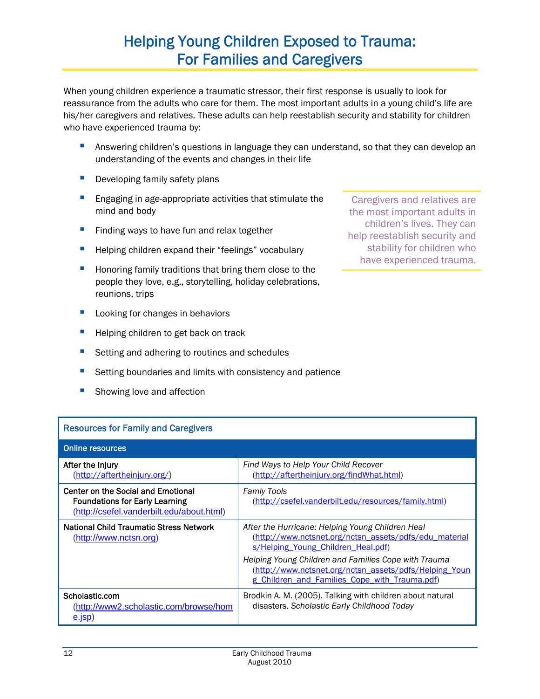# Helping Young Children Exposed to Trauma: For Families and Caregivers

When young children experience a traumatic stressor, their first response is usually to look for reassurance from the adults who care for them. The most important adults in a young child's life are his/her caregivers and relatives. These adults can help reestablish security and stability for children who have experienced trauma by:

- **Answering children's questions in language they can understand, so that they can develop an** understanding of the events and changes in their life
- Developing family safety plans
- **Engaging in age-appropriate activities that stimulate the** mind and body
- Finding ways to have fun and relax together
- **Helping children expand their "feelings" vocabulary**
- **Honoring family traditions that bring them close to the** people they love, e.g., storytelling, holiday celebrations, reunions, trips
- Looking for changes in behaviors
- Helping children to get back on track
- Setting and adhering to routines and schedules
- **Setting boundaries and limits with consistency and patience**
- Showing love and affection

Caregivers and relatives are the most important adults in children's lives. They can help reestablish security and stability for children who have experienced trauma.

| <b>Resources for Family and Caregivers</b>                                                                               |                                                                                                                                                                 |  |
|--------------------------------------------------------------------------------------------------------------------------|-----------------------------------------------------------------------------------------------------------------------------------------------------------------|--|
| <b>Online resources</b>                                                                                                  |                                                                                                                                                                 |  |
| After the Injury<br>(http://aftertheinjury.org/)                                                                         | Find Ways to Help Your Child Recover<br>(http://aftertheinjury.org/findWhat.html)                                                                               |  |
| Center on the Social and Emotional<br><b>Foundations for Early Learning</b><br>(http://csefel.vanderbilt.edu/about.html) | <b>Famly Tools</b><br>(http://csefel.vanderbilt.edu/resources/family.html)                                                                                      |  |
| <b>National Child Traumatic Stress Network</b><br>(http://www.nctsn.org)                                                 | After the Hurricane: Helping Young Children Heal<br>(http://www.nctsnet.org/nctsn_assets/pdfs/edu_material<br>s/Helping Young Children Heal.pdf)                |  |
|                                                                                                                          | Helping Young Children and Families Cope with Trauma<br>(http://www.nctsnet.org/nctsn_assets/pdfs/Helping_Youn<br>g Children and Families Cope with Trauma.pdf) |  |
| Scholastic.com<br>(http://www2.scholastic.com/browse/hom<br><u>e.isp</u> )                                               | Brodkin A. M. (2005). Talking with children about natural<br>disasters. Scholastic Early Childhood Today                                                        |  |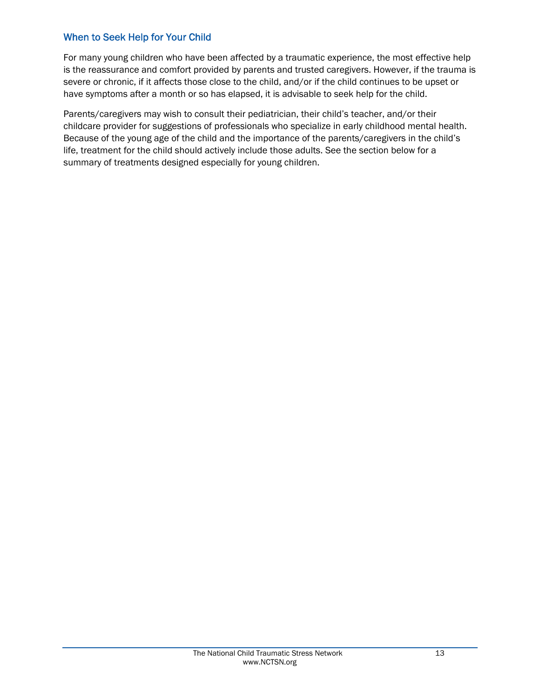### When to Seek Help for Your Child

For many young children who have been affected by a traumatic experience, the most effective help is the reassurance and comfort provided by parents and trusted caregivers. However, if the trauma is severe or chronic, if it affects those close to the child, and/or if the child continues to be upset or have symptoms after a month or so has elapsed, it is advisable to seek help for the child.

Parents/caregivers may wish to consult their pediatrician, their child's teacher, and/or their childcare provider for suggestions of professionals who specialize in early childhood mental health. Because of the young age of the child and the importance of the parents/caregivers in the child's life, treatment for the child should actively include those adults. See the section below for a summary of treatments designed especially for young children.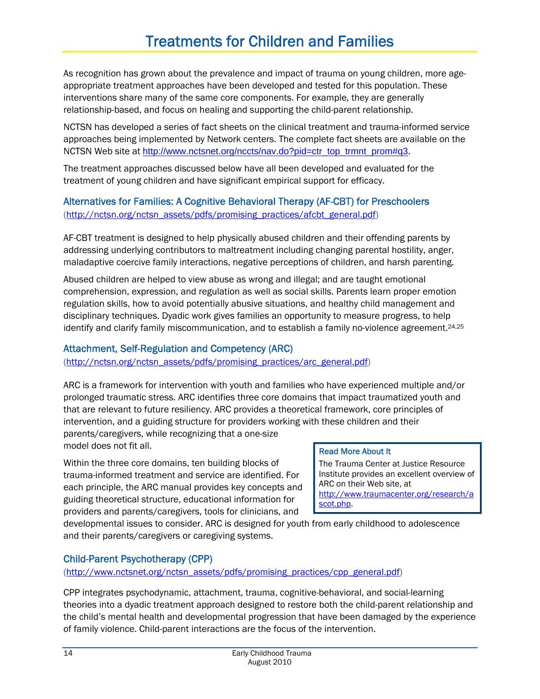As recognition has grown about the prevalence and impact of trauma on young children, more ageappropriate treatment approaches have been developed and tested for this population. These interventions share many of the same core components. For example, they are generally relationship-based, and focus on healing and supporting the child-parent relationship.

NCTSN has developed a series of fact sheets on the clinical treatment and trauma-informed service approaches being implemented by Network centers. The complete fact sheets are available on the NCTSN Web site at [http://www.nctsnet.org/nccts/nav.do?pid=ctr\\_top\\_trmnt\\_prom#q3](http://www.nctsnet.org/nccts/nav.do?pid=ctr_top_trmnt_prom#q3).

The treatment approaches discussed below have all been developed and evaluated for the treatment of young children and have significant empirical support for efficacy.

# Alternatives for Families: A Cognitive Behavioral Therapy (AF-CBT) for Preschoolers

[\(http://nctsn.org/nctsn\\_assets/pdfs/promising\\_practices/afcbt\\_general.pdf](http://nctsn.org/nctsn_assets/pdfs/promising_practices/afcbt_general.pdf))

AF-CBT treatment is designed to help physically abused children and their offending parents by addressing underlying contributors to maltreatment including changing parental hostility, anger, maladaptive coercive family interactions, negative perceptions of children, and harsh parenting.

Abused children are helped to view abuse as wrong and illegal; and are taught emotional comprehension, expression, and regulation as well as social skills. Parents learn proper emotion regulation skills, how to avoid potentially abusive situations, and healthy child management and disciplinary techniques. Dyadic work gives families an opportunity to measure progress, to help identify and clarify family miscommunication, and to establish a family no-violence agreement.<sup>24,25</sup>

# Attachment, Self-Regulation and Competency (ARC)

[\(http://nctsn.org/nctsn\\_assets/pdfs/promising\\_practices/arc\\_general.pdf](http://nctsn.org/nctsn_assets/pdfs/promising_practices/arc_general.pdf))

ARC is a framework for intervention with youth and families who have experienced multiple and/or prolonged traumatic stress. ARC identifies three core domains that impact traumatized youth and that are relevant to future resiliency. ARC provides a theoretical framework, core principles of intervention, and a guiding structure for providers working with these children and their parents/caregivers, while recognizing that a one-size

model does not fit all.

Within the three core domains, ten building blocks of trauma-informed treatment and service are identified. For each principle, the ARC manual provides key concepts and guiding theoretical structure, educational information for providers and parents/caregivers, tools for clinicians, and

### Read More About It

The Trauma Center at Justice Resource Institute provides an excellent overview of ARC on their Web site, at [http://www.traumacenter.org/research/a](http://www.traumacenter.org/research/ascot.php) [scot.php.](http://www.traumacenter.org/research/ascot.php)

developmental issues to consider. ARC is designed for youth from early childhood to adolescence and their parents/caregivers or caregiving systems.

# Child-Parent Psychotherapy (CPP)

[\(http://www.nctsnet.org/nctsn\\_assets/pdfs/promising\\_practices/cpp\\_general.pdf](http://www.nctsnet.org/nctsn_assets/pdfs/promising_practices/cpp_general.pdf))

CPP integrates psychodynamic, attachment, trauma, cognitive-behavioral, and social-learning theories into a dyadic treatment approach designed to restore both the child-parent relationship and the child's mental health and developmental progression that have been damaged by the experience of family violence. Child-parent interactions are the focus of the intervention.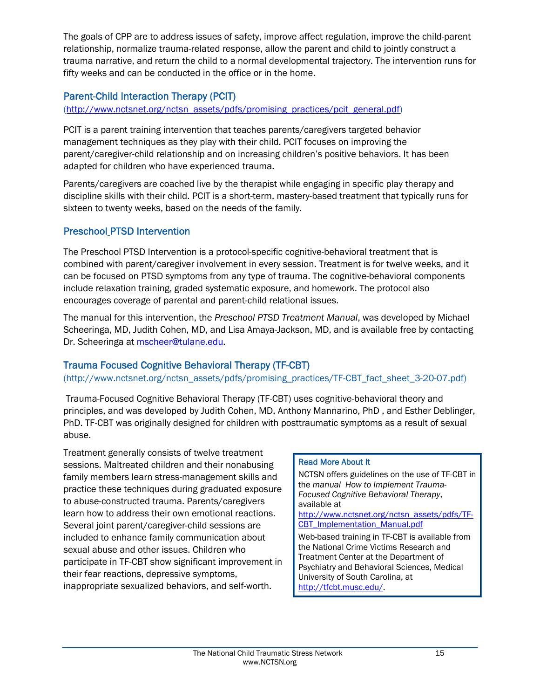The goals of CPP are to address issues of safety, improve affect regulation, improve the child-parent relationship, normalize trauma-related response, allow the parent and child to jointly construct a trauma narrative, and return the child to a normal developmental trajectory. The intervention runs for fifty weeks and can be conducted in the office or in the home.

# Parent-Child Interaction Therapy (PCIT)

[\(http://www.nctsnet.org/nctsn\\_assets/pdfs/promising\\_practices/pcit\\_general.pdf](http://www.nctsnet.org/nctsn_assets/pdfs/promising_practices/pcit_general.pdf))

PCIT is a parent training intervention that teaches parents/caregivers targeted behavior management techniques as they play with their child. PCIT focuses on improving the parent/caregiver-child relationship and on increasing children's positive behaviors. It has been adapted for children who have experienced trauma.

Parents/caregivers are coached live by the therapist while engaging in specific play therapy and discipline skills with their child. PCIT is a short-term, mastery-based treatment that typically runs for sixteen to twenty weeks, based on the needs of the family.

### Preschool PTSD Intervention

The Preschool PTSD Intervention is a protocol-specific cognitive-behavioral treatment that is combined with parent/caregiver involvement in every session. Treatment is for twelve weeks, and it can be focused on PTSD symptoms from any type of trauma. The cognitive-behavioral components include relaxation training, graded systematic exposure, and homework. The protocol also encourages coverage of parental and parent-child relational issues.

The manual for this intervention, the *Preschool PTSD Treatment Manual*, was developed by Michael Scheeringa, MD, Judith Cohen, MD, and Lisa Amaya-Jackson, MD, and is available free by contacting Dr. Scheeringa at [mscheer@tulane.edu](mailto:mscheer@tulane.edu).

### Trauma Focused Cognitive Behavioral Therapy (TF-CBT)

#### (http://www.nctsnet.org/nctsn\_assets/pdfs/promising\_practices/TF-CBT\_fact\_sheet\_3-20-07.pdf)

 Trauma-Focused Cognitive Behavioral Therapy (TF-CBT) uses cognitive-behavioral theory and principles, and was developed by Judith Cohen, MD, Anthony Mannarino, PhD , and Esther Deblinger, PhD. TF-CBT was originally designed for children with posttraumatic symptoms as a result of sexual abuse.

Treatment generally consists of twelve treatment sessions. Maltreated children and their nonabusing family members learn stress-management skills and practice these techniques during graduated exposure to abuse-constructed trauma. Parents/caregivers learn how to address their own emotional reactions. Several joint parent/caregiver-child sessions are included to enhance family communication about sexual abuse and other issues. Children who participate in TF-CBT show significant improvement in their fear reactions, depressive symptoms, inappropriate sexualized behaviors, and self-worth.

#### Read More About It

NCTSN offers guidelines on the use of TF-CBT in the *manual How to Implement Trauma-Focused Cognitive Behavioral Therapy*, available at

[http://www.nctsnet.org/nctsn\\_assets/pdfs/TF-](http://www.nctsnet.org/nctsn_assets/pdfs/TF-CBT_Implementation_Manual.pdf)CBT Implementation Manual.pdf

Web-based training in TF-CBT is available from the National Crime Victims Research and Treatment Center at the Department of Psychiatry and Behavioral Sciences, Medical University of South Carolina, at [http://tfcbt.musc.edu/.](http://tfcbt.musc.edu/)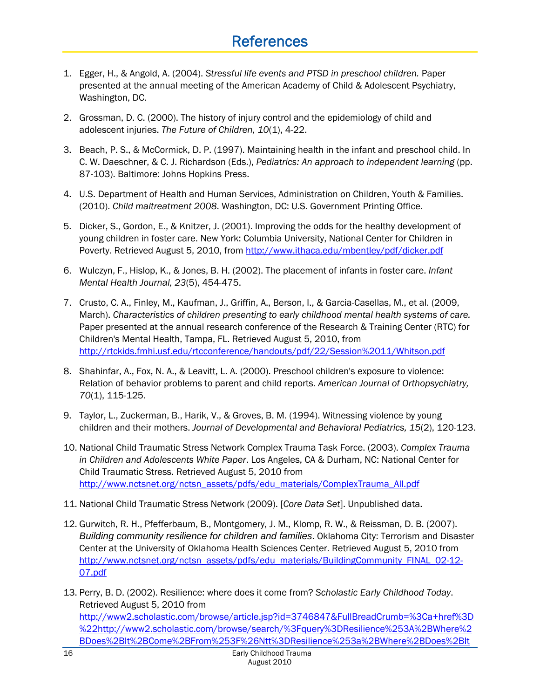# **References**

- 1. Egger, H., & Angold, A. (2004). *Stressful life events and PTSD in preschool children.* Paper presented at the annual meeting of the American Academy of Child & Adolescent Psychiatry, Washington, DC.
- 2. Grossman, D. C. (2000). The history of injury control and the epidemiology of child and adolescent injuries. *The Future of Children, 10*(1), 4-22.
- 3. Beach, P. S., & McCormick, D. P. (1997). Maintaining health in the infant and preschool child. In C. W. Daeschner, & C. J. Richardson (Eds.), *Pediatrics: An approach to independent learning* (pp. 87-103). Baltimore: Johns Hopkins Press.
- 4. U.S. Department of Health and Human Services, Administration on Children, Youth & Families. (2010). *Child maltreatment 2008*. Washington, DC: U.S. Government Printing Office.
- 5. Dicker, S., Gordon, E., & Knitzer, J. (2001). Improving the odds for the healthy development of young children in foster care. New York: Columbia University, National Center for Children in Poverty. Retrieved August 5, 2010, from <http://www.ithaca.edu/mbentley/pdf/dicker.pdf>
- 6. Wulczyn, F., Hislop, K., & Jones, B. H. (2002). The placement of infants in foster care. *Infant Mental Health Journal, 23*(5), 454-475.
- 7. Crusto, C. A., Finley, M., Kaufman, J., Griffin, A., Berson, I., & Garcia-Casellas, M., et al. (2009, March). *Characteristics of children presenting to early childhood mental health systems of care.* Paper presented at the annual research conference of the Research & Training Center (RTC) for Children's Mental Health, Tampa, FL. Retrieved August 5, 2010, from <http://rtckids.fmhi.usf.edu/rtcconference/handouts/pdf/22/Session%2011/Whitson.pdf>
- 8. Shahinfar, A., Fox, N. A., & Leavitt, L. A. (2000). Preschool children's exposure to violence: Relation of behavior problems to parent and child reports. *American Journal of Orthopsychiatry, 70*(1), 115-125.
- 9. Taylor, L., Zuckerman, B., Harik, V., & Groves, B. M. (1994). Witnessing violence by young children and their mothers. *Journal of Developmental and Behavioral Pediatrics, 15*(2), 120-123.
- 10. National Child Traumatic Stress Network Complex Trauma Task Force. (2003). *Complex Trauma in Children and Adolescents White Paper*. Los Angeles, CA & Durham, NC: National Center for Child Traumatic Stress. Retrieved August 5, 2010 from [http://www.nctsnet.org/nctsn\\_assets/pdfs/edu\\_materials/ComplexTrauma\\_All.pdf](http://www.nctsnet.org/nctsn_assets/pdfs/edu_materials/ComplexTrauma_All.pdf)
- 11. National Child Traumatic Stress Network (2009). [*Core Data Set*]. Unpublished data.
- 12. Gurwitch, R. H., Pfefferbaum, B., Montgomery, J. M., Klomp, R. W., & Reissman, D. B. (2007). *Building community resilience for children and families*. Oklahoma City: Terrorism and Disaster Center at the University of Oklahoma Health Sciences Center. Retrieved August 5, 2010 from [http://www.nctsnet.org/nctsn\\_assets/pdfs/edu\\_materials/BuildingCommunity\\_FINAL\\_02-12-](http://www.nctsnet.org/nctsn_assets/pdfs/edu_materials/BuildingCommunity_FINAL_02-12-07.pdf) [07.pdf](http://www.nctsnet.org/nctsn_assets/pdfs/edu_materials/BuildingCommunity_FINAL_02-12-07.pdf)
- 13. Perry, B. D. (2002). Resilience: where does it come from? *Scholastic Early Childhood Today*. Retrieved August 5, 2010 from [http://www2.scholastic.com/browse/article.jsp?id=3746847&FullBreadCrumb=%3Ca+href%3D](http://www2.scholastic.com/browse/article.jsp?id=3746847&FullBreadCrumb=%3Ca+href%3D%22http://www2.scholastic.com/browse/search/%3Fquery%3DResilience%253A%2BWhere%2BDoes%2BIt%2BCome%2BFrom%253F%26Ntt%3DResilience%253a%2BWhere%2BDoes%2BIt%2BCome%2BFrom%253f%26Ntk%3DSCHL30_SI%26Ntx%3Dmode%2Bmatchallpartial%26y%3D0%26N%3D0%26x%3D0%26_N%3Dfff%22+class%3D%22endecaAll%22%3EAll+Results%3C/a%3E) [%22http://www2.scholastic.com/browse/search/%3Fquery%3DResilience%253A%2BWhere%2](http://www2.scholastic.com/browse/article.jsp?id=3746847&FullBreadCrumb=%3Ca+href%3D%22http://www2.scholastic.com/browse/search/%3Fquery%3DResilience%253A%2BWhere%2BDoes%2BIt%2BCome%2BFrom%253F%26Ntt%3DResilience%253a%2BWhere%2BDoes%2BIt%2BCome%2BFrom%253f%26Ntk%3DSCHL30_SI%26Ntx%3Dmode%2Bmatchallpartial%26y%3D0%26N%3D0%26x%3D0%26_N%3Dfff%22+class%3D%22endecaAll%22%3EAll+Results%3C/a%3E) [BDoes%2BIt%2BCome%2BFrom%253F%26Ntt%3DResilience%253a%2BWhere%2BDoes%2BIt](http://www2.scholastic.com/browse/article.jsp?id=3746847&FullBreadCrumb=%3Ca+href%3D%22http://www2.scholastic.com/browse/search/%3Fquery%3DResilience%253A%2BWhere%2BDoes%2BIt%2BCome%2BFrom%253F%26Ntt%3DResilience%253a%2BWhere%2BDoes%2BIt%2BCome%2BFrom%253f%26Ntk%3DSCHL30_SI%26Ntx%3Dmode%2Bmatchallpartial%26y%3D0%26N%3D0%26x%3D0%26_N%3Dfff%22+class%3D%22endecaAll%22%3EAll+Results%3C/a%3E)